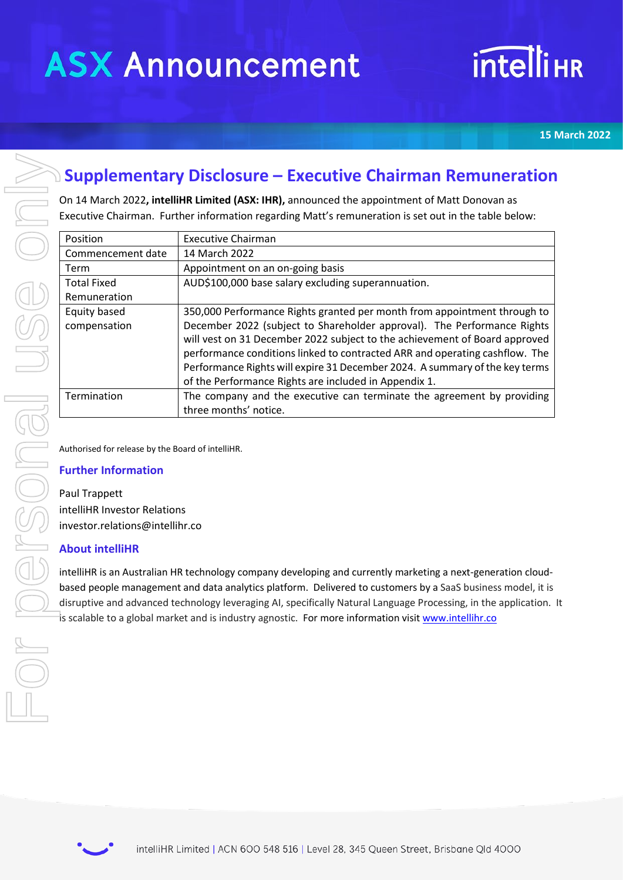# **intelliHR**

**15 March 2022**

# **Supplementary Disclosure – Executive Chairman Remuneration**

| <b>Supplementary Disclosure – Executive Chairman Remuneration</b>                                    |                                                                                                                 |                                                                                                                                      |  |
|------------------------------------------------------------------------------------------------------|-----------------------------------------------------------------------------------------------------------------|--------------------------------------------------------------------------------------------------------------------------------------|--|
| On 14 March 2022, intelliHR Limited (ASX: IHR), announced the appointment of Matt Donovan as         |                                                                                                                 |                                                                                                                                      |  |
| Executive Chairman. Further information regarding Matt's remuneration is set out in the table below: |                                                                                                                 |                                                                                                                                      |  |
|                                                                                                      | Position                                                                                                        | <b>Executive Chairman</b>                                                                                                            |  |
|                                                                                                      | Commencement date                                                                                               | 14 March 2022                                                                                                                        |  |
|                                                                                                      | Term                                                                                                            | Appointment on an on-going basis                                                                                                     |  |
|                                                                                                      | <b>Total Fixed</b>                                                                                              | AUD\$100,000 base salary excluding superannuation.                                                                                   |  |
|                                                                                                      | Remuneration                                                                                                    |                                                                                                                                      |  |
|                                                                                                      | Equity based                                                                                                    | 350,000 Performance Rights granted per month from appointment through to                                                             |  |
|                                                                                                      | compensation                                                                                                    | December 2022 (subject to Shareholder approval). The Performance Rights                                                              |  |
|                                                                                                      |                                                                                                                 | will vest on 31 December 2022 subject to the achievement of Board approved                                                           |  |
|                                                                                                      |                                                                                                                 | performance conditions linked to contracted ARR and operating cashflow. The                                                          |  |
|                                                                                                      |                                                                                                                 | Performance Rights will expire 31 December 2024. A summary of the key terms<br>of the Performance Rights are included in Appendix 1. |  |
|                                                                                                      | Termination                                                                                                     | The company and the executive can terminate the agreement by providing                                                               |  |
|                                                                                                      |                                                                                                                 | three months' notice.                                                                                                                |  |
|                                                                                                      |                                                                                                                 |                                                                                                                                      |  |
|                                                                                                      | Authorised for release by the Board of intelliHR.                                                               |                                                                                                                                      |  |
|                                                                                                      | <b>Further Information</b>                                                                                      |                                                                                                                                      |  |
|                                                                                                      |                                                                                                                 |                                                                                                                                      |  |
|                                                                                                      | Paul Trappett                                                                                                   |                                                                                                                                      |  |
|                                                                                                      | intelliHR Investor Relations                                                                                    |                                                                                                                                      |  |
|                                                                                                      | investor.relations@intellihr.co                                                                                 |                                                                                                                                      |  |
|                                                                                                      | <b>About intelliHR</b>                                                                                          |                                                                                                                                      |  |
|                                                                                                      | intelliHR is an Australian HR technology company developing and currently marketing a next-generation cloud-    |                                                                                                                                      |  |
|                                                                                                      | based people management and data analytics platform. Delivered to customers by a SaaS business model, it is     |                                                                                                                                      |  |
|                                                                                                      | disruptive and advanced technology leveraging AI, specifically Natural Language Processing, in the application. |                                                                                                                                      |  |
|                                                                                                      |                                                                                                                 | is scalable to a global market and is industry agnostic. For more information visit www.intellihr.co                                 |  |
|                                                                                                      |                                                                                                                 |                                                                                                                                      |  |
|                                                                                                      |                                                                                                                 |                                                                                                                                      |  |
|                                                                                                      |                                                                                                                 |                                                                                                                                      |  |
|                                                                                                      |                                                                                                                 |                                                                                                                                      |  |
|                                                                                                      |                                                                                                                 |                                                                                                                                      |  |

## **Further Information**

### **About intelliHR**